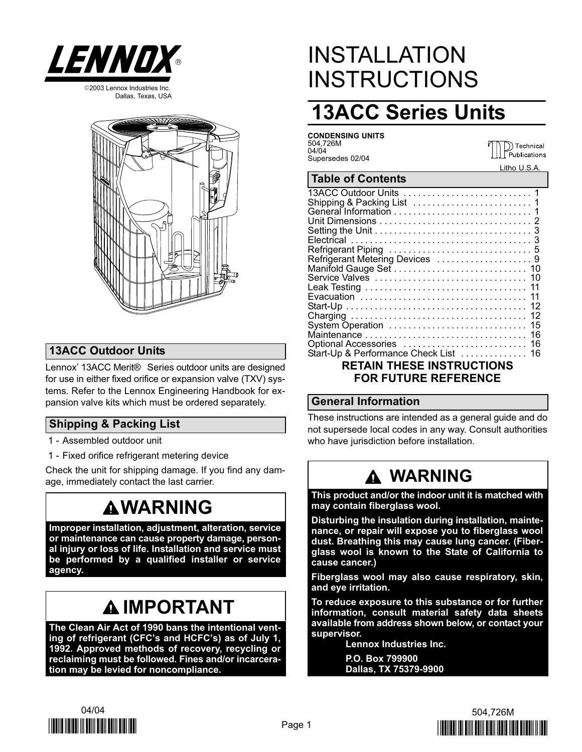





### 13ACC Outdoor Units

Lennox' 13ACC Merit® Series outdoor units are designed for use in either fixed orifice or expansion valve (TXV) systems. Refer to the Lennox Engineering Handbook for expansion valve kits which must be ordered separately.

### Shipping & Packing List

- 1 − Assembled outdoor unit
- 1 − Fixed orifice refrigerant metering device

Check the unit for shipping damage. If you find any damage, immediately contact the last carrier.

# **AWARNING**

Improper installation, adjustment, alteration, service or maintenance can cause property damage, personal injury or loss of life. Installation and service must be performed by a qualified installer or service agency.

# IMPORTANT

The Clean Air Act of 1990 bans the intentional venting of refrigerant (CFC's and HCFC's) as of July 1, 1992. Approved methods of recovery, recycling or reclaiming must be followed. Fines and/or incarceration may be levied for noncompliance.

# INSTALLATION **INSTRUCTIONS**

# 13ACC Series Units

CONDENSING UNITS 504,726M 04/04 Supersedes 02/04

D Technical<br>Publications Litho U.S.A.

#### Table of Contents

| Refrigerant Metering Devices  9       |  |  |  |  |  |  |
|---------------------------------------|--|--|--|--|--|--|
|                                       |  |  |  |  |  |  |
|                                       |  |  |  |  |  |  |
|                                       |  |  |  |  |  |  |
|                                       |  |  |  |  |  |  |
|                                       |  |  |  |  |  |  |
|                                       |  |  |  |  |  |  |
| System Operation  15                  |  |  |  |  |  |  |
|                                       |  |  |  |  |  |  |
|                                       |  |  |  |  |  |  |
| Start-Up & Performance Check List  16 |  |  |  |  |  |  |
|                                       |  |  |  |  |  |  |
| <b>RETAIN THESE INSTRUCTIONS</b>      |  |  |  |  |  |  |
| <b>FOR FUTURE REFERENCE</b>           |  |  |  |  |  |  |
|                                       |  |  |  |  |  |  |

#### General Information

These instructions are intended as a general guide and do not supersede local codes in any way. Consult authorities who have jurisdiction before installation.

# WARNING

This product and/or the indoor unit it is matched with may contain fiberglass wool.

Disturbing the insulation during installation, maintenance, or repair will expose you to fiberglass wool dust. Breathing this may cause lung cancer. (Fiberglass wool is known to the State of California to cause cancer.)

Fiberglass wool may also cause respiratory, skin, and eye irritation.

To reduce exposure to this substance or for further information, consult material safety data sheets available from address shown below, or contact your supervisor.

Lennox Industries Inc.

P.O. Box 799900 Dallas, TX 75379−9900



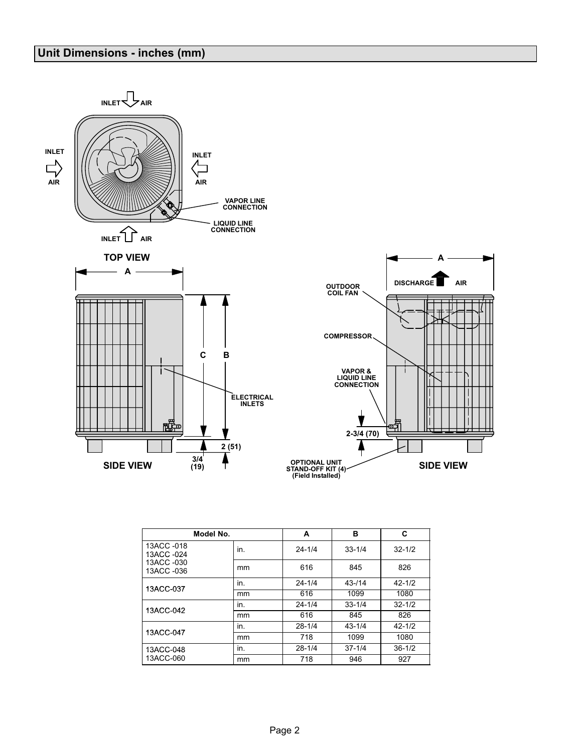### Unit Dimensions − inches (mm)



|                          | Model No. | A          | в          | C          |
|--------------------------|-----------|------------|------------|------------|
| 13ACC -018<br>13ACC -024 | in.       | $24 - 1/4$ | $33 - 1/4$ | $32 - 1/2$ |
| 13ACC -030<br>13ACC -036 | mm        | 616        | 845        | 826        |
| 13ACC-037                | in.       | $24 - 1/4$ | $43 - 114$ | $42 - 1/2$ |
|                          | mm        | 616        | 1099       | 1080       |
| 13ACC-042                | in.       | $24 - 1/4$ | $33 - 1/4$ | $32 - 1/2$ |
|                          | mm        | 616        | 845        | 826        |
| 13ACC-047                | in.       | $28 - 1/4$ | $43 - 1/4$ | $42 - 1/2$ |
|                          | mm        | 718        | 1099       | 1080       |
| 13ACC-048                | in.       | $28 - 1/4$ | $37 - 1/4$ | $36 - 1/2$ |
| 13ACC-060                | mm        | 718        | 946        | 927        |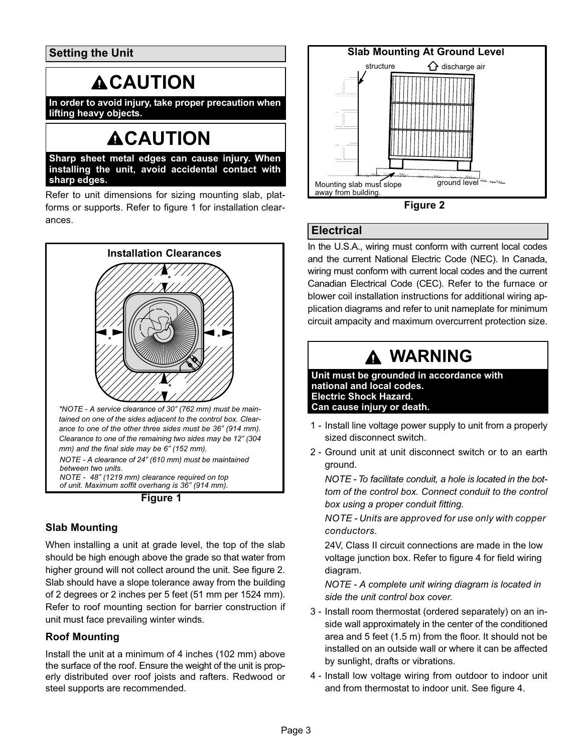Setting the Unit

# **ACAUTION**

In order to avoid injury, take proper precaution when lifting heavy objects.

# **ACAUTION**

Sharp sheet metal edges can cause injury. When installing the unit, avoid accidental contact with sharp edges.

Refer to unit dimensions for sizing mounting slab, platforms or supports. Refer to figure 1 for installation clearances.



of unit. Maximum soffit overhang is 36" (914 mm).

Figure 1

### Slab Mounting

When installing a unit at grade level, the top of the slab should be high enough above the grade so that water from higher ground will not collect around the unit. See figure 2. Slab should have a slope tolerance away from the building of 2 degrees or 2 inches per 5 feet (51 mm per 1524 mm). Refer to roof mounting section for barrier construction if unit must face prevailing winter winds.

### Roof Mounting

Install the unit at a minimum of 4 inches (102 mm) above the surface of the roof. Ensure the weight of the unit is properly distributed over roof joists and rafters. Redwood or steel supports are recommended.





### **Electrical**

In the U.S.A., wiring must conform with current local codes and the current National Electric Code (NEC). In Canada, wiring must conform with current local codes and the current Canadian Electrical Code (CEC). Refer to the furnace or blower coil installation instructions for additional wiring application diagrams and refer to unit nameplate for minimum circuit ampacity and maximum overcurrent protection size.

# WARNING

Unit must be grounded in accordance with national and local codes. Electric Shock Hazard. Can cause injury or death.

- 1 − Install line voltage power supply to unit from a properly sized disconnect switch.
- 2 − Ground unit at unit disconnect switch or to an earth ground.

NOTE − To facilitate conduit, a hole is located in the bottom of the control box. Connect conduit to the control box using a proper conduit fitting.

NOTE − Units are approved for use only with copper conductors.

24V, Class II circuit connections are made in the low voltage junction box. Refer to figure [4](#page-3-0) for field wiring diagram.

NOTE − A complete unit wiring diagram is located in side the unit control box cover.

- 3 − Install room thermostat (ordered separately) on an inside wall approximately in the center of the conditioned area and 5 feet (1.5 m) from the floor. It should not be installed on an outside wall or where it can be affected by sunlight, drafts or vibrations.
- 4 − Install low voltage wiring from outdoor to indoor unit and from thermostat to indoor unit. See figure [4.](#page-3-0)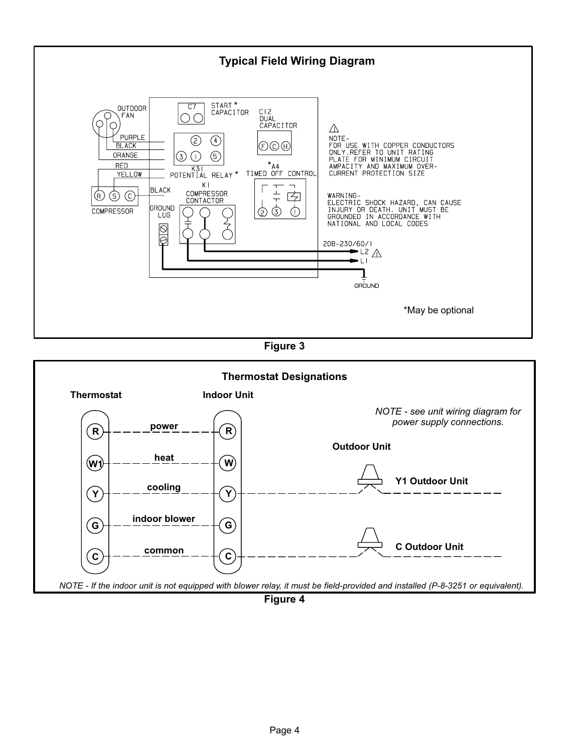<span id="page-3-0"></span>

Figure 3



Figure 4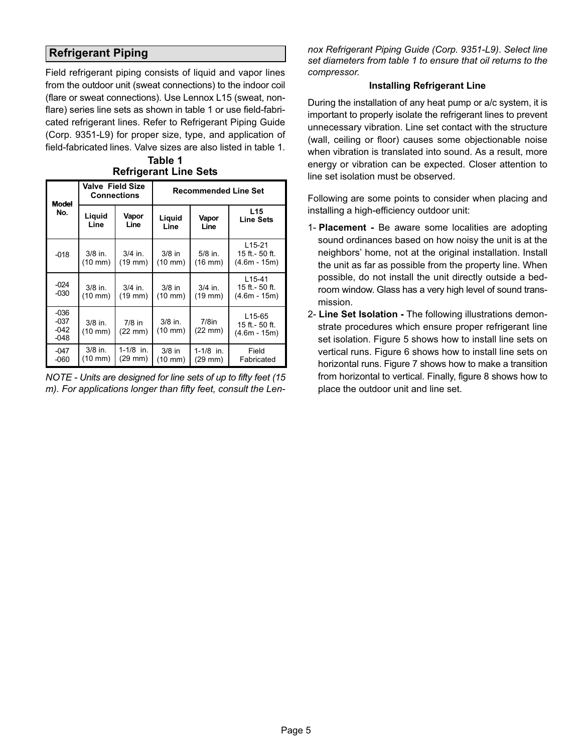### <span id="page-4-0"></span>Refrigerant Piping

Field refrigerant piping consists of liquid and vapor lines from the outdoor unit (sweat connections) to the indoor coil (flare or sweat connections). Use Lennox L15 (sweat, nonflare) series line sets as shown in table 1 or use field-fabricated refrigerant lines. Refer to Refrigerant Piping Guide (Corp. 9351−L9) for proper size, type, and application of field−fabricated lines. Valve sizes are also listed in table 1.

| <b>Model</b>                         | <b>Valve Field Size</b>                                         | <b>Connections</b>             | <b>Recommended Line Set</b>   |                           |                                              |  |  |  |  |
|--------------------------------------|-----------------------------------------------------------------|--------------------------------|-------------------------------|---------------------------|----------------------------------------------|--|--|--|--|
| No.                                  | Liquid<br>Line                                                  | Vapor<br>Line                  | Liguid<br>Line                | Vapor<br>Line             | L <sub>15</sub><br><b>Line Sets</b>          |  |  |  |  |
| $-018$                               | $3/8$ in.<br>$(10 \text{ mm})$                                  | $3/4$ in.<br>$(19 \text{ mm})$ | $3/8$ in<br>$(10 \text{ mm})$ | $5/8$ in.<br>$(16$ mm $)$ | $L15-21$<br>15 ft.- 50 ft.<br>$(4.6m - 15m)$ |  |  |  |  |
| $-024$<br>$-030$                     | $3/8$ in.<br>$(10 \text{ mm})$                                  | $3/4$ in.<br>$(19$ mm $)$      | $3/8$ in<br>$(10 \text{ mm})$ | $3/4$ in.<br>$(19$ mm $)$ | $L15-41$<br>15 ft.- 50 ft.<br>$(4.6m - 15m)$ |  |  |  |  |
| $-036$<br>$-037$<br>$-042$<br>$-048$ | $3/8$ in.<br>$7/8$ in<br>$(10 \text{ mm})$<br>$(22 \text{ mm})$ |                                | $3/8$ in.<br>(10 mm)          | $7/8$ in<br>(22 mm)       | L15-65<br>15 ft.- 50 ft.<br>$(4.6m - 15m)$   |  |  |  |  |
| $-047$<br>$-060$                     | $3/8$ in.<br>(10 mm)                                            | $1 - 1/8$ in.<br>(29 mm)       | $3/8$ in<br>$(10 \text{ mm})$ | $1 - 1/8$ in.<br>(29 mm)  | Field<br>Fabricated                          |  |  |  |  |

Table 1 Refrigerant Line Sets

NOTE − Units are designed for line sets of up to fifty feet (15 m). For applications longer than fifty feet, consult the Lennox Refrigerant Piping Guide (Corp. 9351−L9). Select line set diameters from table 1 to ensure that oil returns to the compressor.

#### Installing Refrigerant Line

During the installation of any heat pump or a/c system, it is important to properly isolate the refrigerant lines to prevent unnecessary vibration. Line set contact with the structure (wall, ceiling or floor) causes some objectionable noise when vibration is translated into sound. As a result, more energy or vibration can be expected. Closer attention to line set isolation must be observed.

Following are some points to consider when placing and installing a high−efficiency outdoor unit:

- 1- Placement − Be aware some localities are adopting sound ordinances based on how noisy the unit is at the neighbors' home, not at the original installation. Install the unit as far as possible from the property line. When possible, do not install the unit directly outside a bedroom window. Glass has a very high level of sound transmission.
- 2- Line Set Isolation The following illustrations demonstrate procedures which ensure proper refrigerant line set isolation. Figure [5](#page-5-0) shows how to install line sets on vertical runs. Figure [6](#page-6-0) shows how to install line sets on horizontal runs. Figure [7](#page-7-0) shows how to make a transition from horizontal to vertical. Finally, figure [8](#page-7-0) shows how to place the outdoor unit and line set.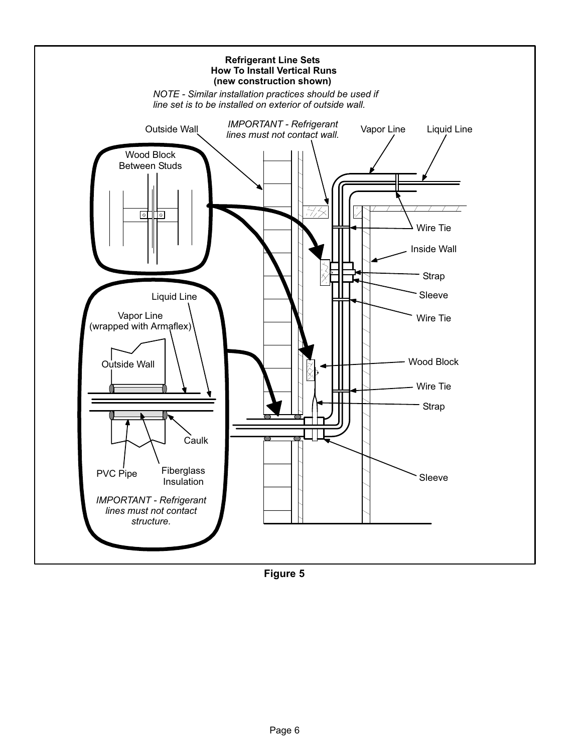<span id="page-5-0"></span>

Figure 5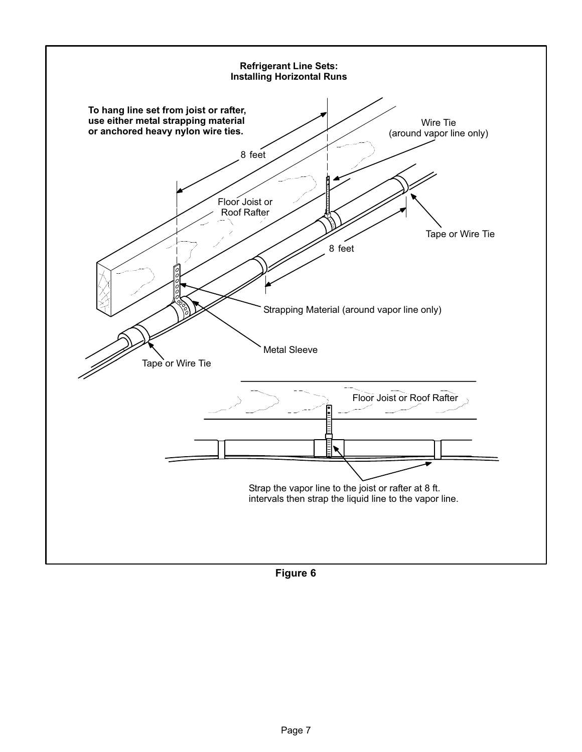<span id="page-6-0"></span>

Figure 6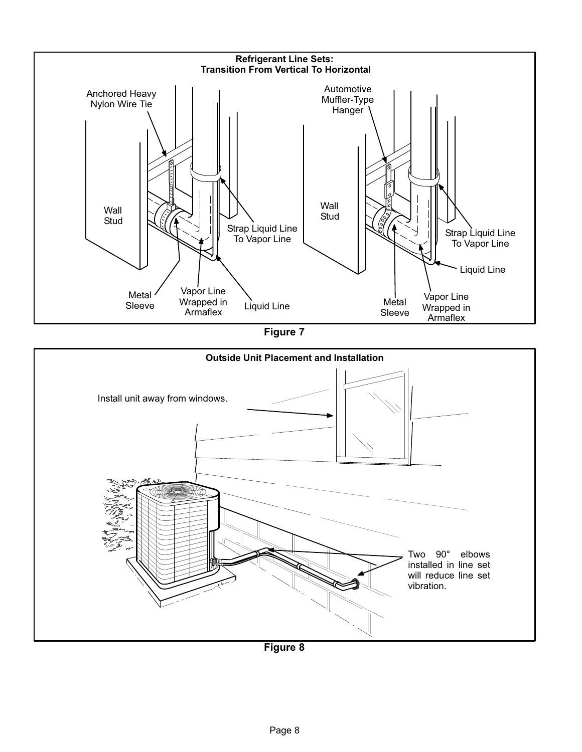<span id="page-7-0"></span>

Figure 7



Figure 8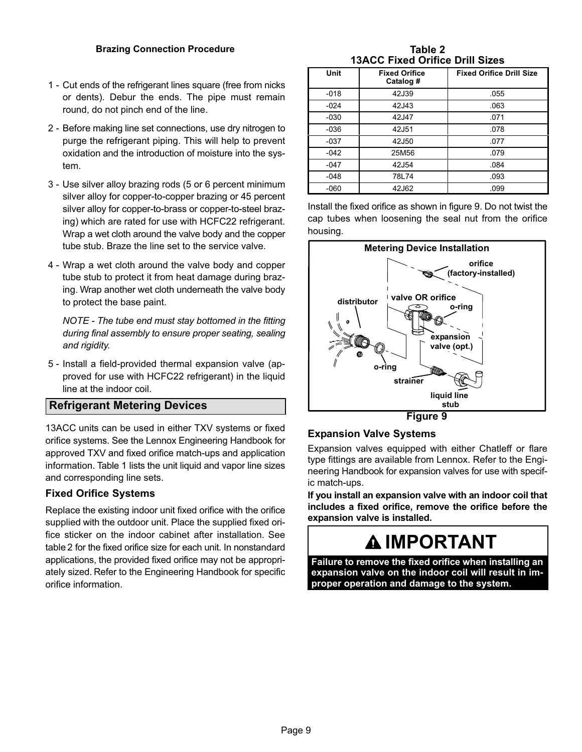#### Brazing Connection Procedure

- 1 − Cut ends of the refrigerant lines square (free from nicks or dents). Debur the ends. The pipe must remain round, do not pinch end of the line.
- 2 − Before making line set connections, use dry nitrogen to purge the refrigerant piping. This will help to prevent oxidation and the introduction of moisture into the system.
- 3 − Use silver alloy brazing rods (5 or 6 percent minimum silver alloy for copper−to−copper brazing or 45 percent silver alloy for copper−to−brass or copper−to−steel brazing) which are rated for use with HCFC22 refrigerant. Wrap a wet cloth around the valve body and the copper tube stub. Braze the line set to the service valve.
- 4 − Wrap a wet cloth around the valve body and copper tube stub to protect it from heat damage during brazing. Wrap another wet cloth underneath the valve body to protect the base paint.

NOTE − The tube end must stay bottomed in the fitting during final assembly to ensure proper seating, sealing and rigidity.

 5 − Install a field−provided thermal expansion valve (approved for use with HCFC22 refrigerant) in the liquid line at the indoor coil.

#### Refrigerant Metering Devices

13ACC units can be used in either TXV systems or fixed orifice systems. See the Lennox Engineering Handbook for approved TXV and fixed orifice match-ups and application information. Table [1](#page-4-0) lists the unit liquid and vapor line sizes and corresponding line sets.

#### Fixed Orifice Systems

Replace the existing indoor unit fixed orifice with the orifice supplied with the outdoor unit. Place the supplied fixed orifice sticker on the indoor cabinet after installation. See table 2 for the fixed orifice size for each unit. In nonstandard applications, the provided fixed orifice may not be appropriately sized. Refer to the Engineering Handbook for specific orifice information.

Table 2 13ACC Fixed Orifice Drill Sizes

| Unit   | <b>Fixed Orifice</b><br>Catalog # | <b>Fixed Orifice Drill Size</b> |
|--------|-----------------------------------|---------------------------------|
| $-018$ | 42J39                             | .055                            |
| $-024$ | 42J43                             | .063                            |
| $-030$ | 42J47                             | .071                            |
| $-036$ | 42J51                             | .078                            |
| $-037$ | 42J50                             | .077                            |
| $-042$ | 25M56                             | .079                            |
| $-047$ | 42J54                             | .084                            |
| $-048$ | 78L74                             | .093                            |
| $-060$ | 42J62                             | .099                            |

Install the fixed orifice as shown in figure 9. Do not twist the cap tubes when loosening the seal nut from the orifice housing.



Figure 9

#### Expansion Valve Systems

Expansion valves equipped with either Chatleff or flare type fittings are available from Lennox. Refer to the Engineering Handbook for expansion valves for use with specific match−ups.

If you install an expansion valve with an indoor coil that includes a fixed orifice, remove the orifice before the expansion valve is installed.

# IMPORTANT

Failure to remove the fixed orifice when installing an expansion valve on the indoor coil will result in improper operation and damage to the system.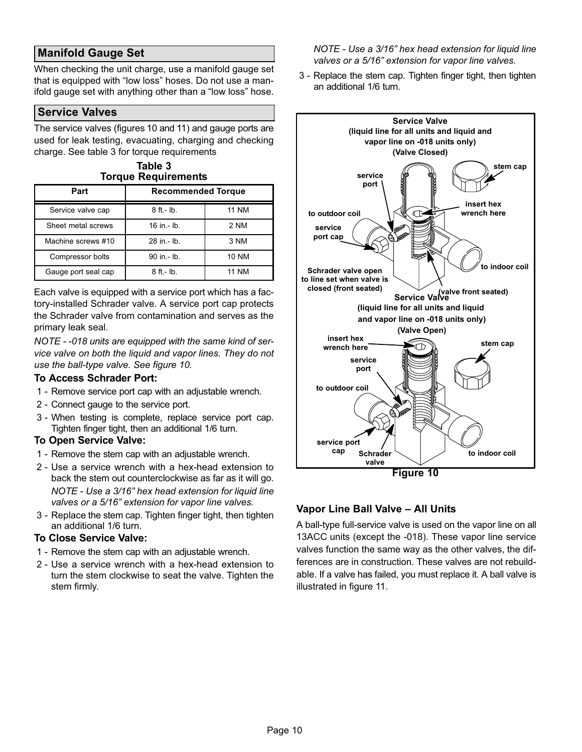### Manifold Gauge Set

When checking the unit charge, use a manifold gauge set that is equipped with "low loss" hoses. Do not use a manifold gauge set with anything other than a "low loss" hose.

#### Service Valves

The service valves (figures 10 and [11](#page-10-0)) and gauge ports are used for leak testing, evacuating, charging and checking charge. See table 3 for torque requirements

Table <sup>2</sup>

| rapie o<br><b>Torque Requirements</b> |                           |  |  |  |  |  |
|---------------------------------------|---------------------------|--|--|--|--|--|
| Part                                  | <b>Recommended Torque</b> |  |  |  |  |  |
|                                       |                           |  |  |  |  |  |

| Service valve cap   | $8$ ft.- $lb$ . | <b>11 NM</b> |
|---------------------|-----------------|--------------|
| Sheet metal screws  | $16$ in $-$ lb. | 2 NM         |
| Machine screws #10  | 28 in - lb.     | 3 NM         |
| Compressor bolts    | 90 in .- lb.    | <b>10 NM</b> |
| Gauge port seal cap | $8$ ft.- lb.    | 11 NM        |

Each valve is equipped with a service port which has a factory−installed Schrader valve. A service port cap protects the Schrader valve from contamination and serves as the primary leak seal.

NOTE − −018 units are equipped with the same kind of service valve on both the liquid and vapor lines. They do not use the ball−type valve. See figure 10.

#### To Access Schrader Port:

- 1 − Remove service port cap with an adjustable wrench.
- 2 − Connect gauge to the service port.
- 3 − When testing is complete, replace service port cap. Tighten finger tight, then an additional 1/6 turn.

#### To Open Service Valve:

- 1 − Remove the stem cap with an adjustable wrench.
- 2 Use a service wrench with a hex-head extension to back the stem out counterclockwise as far as it will go. NOTE − Use a 3/16" hex head extension for liquid line valves or a 5/16" extension for vapor line valves.
- 3 − Replace the stem cap. Tighten finger tight, then tighten an additional 1/6 turn.

#### To Close Service Valve:

- 1 − Remove the stem cap with an adjustable wrench.
- 2 Use a service wrench with a hex-head extension to turn the stem clockwise to seat the valve. Tighten the stem firmly.

NOTE − Use a 3/16" hex head extension for liquid line valves or a 5/16" extension for vapor line valves.

 3 − Replace the stem cap. Tighten finger tight, then tighten an additional 1/6 turn.



#### Vapor Line Ball Valve – All Units

A ball-type full−service valve is used on the vapor line on all 13ACC units (except the −018). These vapor line service valves function the same way as the other valves, the differences are in construction. These valves are not rebuildable. If a valve has failed, you must replace it. A ball valve is illustrated in figure [11.](#page-10-0)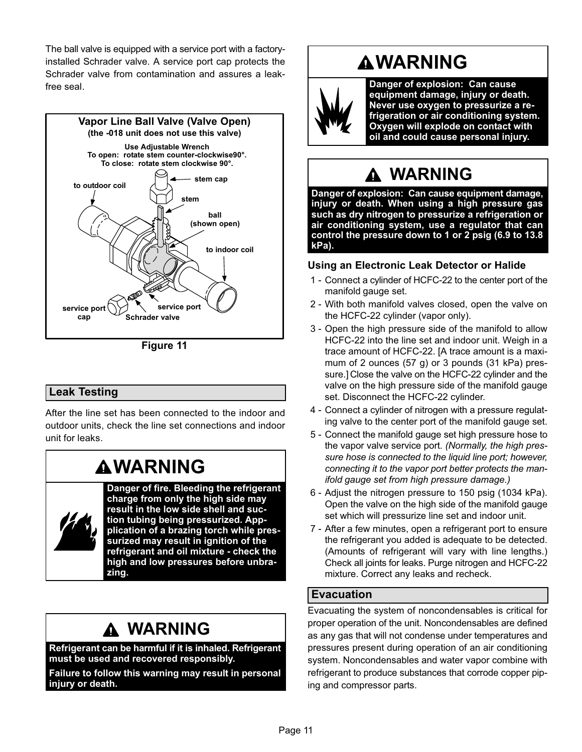<span id="page-10-0"></span>The ball valve is equipped with a service port with a factory− installed Schrader valve. A service port cap protects the Schrader valve from contamination and assures a leak− free seal.



Figure 11

### Leak Testing

After the line set has been connected to the indoor and outdoor units, check the line set connections and indoor unit for leaks.

# **AWARNING**

Danger of fire. Bleeding the refrigerant charge from only the high side may result in the low side shell and suction tubing being pressurized. Appplication of a brazing torch while pressurized may result in ignition of the refrigerant and oil mixture − check the high and low pressures before unbrazing.

## WARNING

Refrigerant can be harmful if it is inhaled. Refrigerant must be used and recovered responsibly.

Failure to follow this warning may result in personal injury or death.

# **AWARNING**



Danger of explosion: Can cause equipment damage, injury or death. Never use oxygen to pressurize a refrigeration or air conditioning system. Oxygen will explode on contact with oil and could cause personal injury.

# WARNING

Danger of explosion: Can cause equipment damage, injury or death. When using a high pressure gas such as dry nitrogen to pressurize a refrigeration or air conditioning system, use a regulator that can control the pressure down to 1 or 2 psig (6.9 to 13.8 kPa).

#### Using an Electronic Leak Detector or Halide

- 1 − Connect a cylinder of HCFC-22 to the center port of the manifold gauge set.
- 2 With both manifold valves closed, open the valve on the HCFC-22 cylinder (vapor only).
- 3 − Open the high pressure side of the manifold to allow HCFC-22 into the line set and indoor unit. Weigh in a trace amount of HCFC-22. [A trace amount is a maximum of 2 ounces (57 g) or 3 pounds (31 kPa) pressure.] Close the valve on the HCFC-22 cylinder and the valve on the high pressure side of the manifold gauge set. Disconnect the HCFC-22 cylinder.
- 4 − Connect a cylinder of nitrogen with a pressure regulating valve to the center port of the manifold gauge set.
- 5 Connect the manifold gauge set high pressure hose to the vapor valve service port. (Normally, the high pressure hose is connected to the liquid line port; however, connecting it to the vapor port better protects the manifold gauge set from high pressure damage.)
- 6 − Adjust the nitrogen pressure to 150 psig (1034 kPa). Open the valve on the high side of the manifold gauge set which will pressurize line set and indoor unit.
- 7 − After a few minutes, open a refrigerant port to ensure the refrigerant you added is adequate to be detected. (Amounts of refrigerant will vary with line lengths.) Check all joints for leaks. Purge nitrogen and HCFC-22 mixture. Correct any leaks and recheck.

#### Evacuation

Evacuating the system of noncondensables is critical for proper operation of the unit. Noncondensables are defined as any gas that will not condense under temperatures and pressures present during operation of an air conditioning system. Noncondensables and water vapor combine with refrigerant to produce substances that corrode copper piping and compressor parts.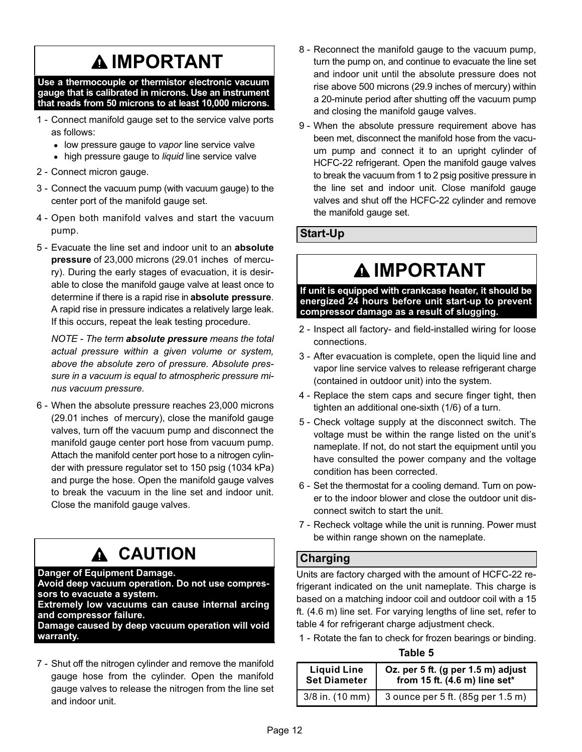# IMPORTANT

Use a thermocouple or thermistor electronic vacuum gauge that is calibrated in microns. Use an instrument that reads from 50 microns to at least 10,000 microns.

- 1 − Connect manifold gauge set to the service valve ports as follows:
	- low pressure gauge to vapor line service valve
	- high pressure gauge to liquid line service valve
- 2 − Connect micron gauge.
- 3 − Connect the vacuum pump (with vacuum gauge) to the center port of the manifold gauge set.
- 4 − Open both manifold valves and start the vacuum pump.
- 5 Evacuate the line set and indoor unit to an absolute pressure of 23,000 microns (29.01 inches of mercury). During the early stages of evacuation, it is desirable to close the manifold gauge valve at least once to determine if there is a rapid rise in absolute pressure. A rapid rise in pressure indicates a relatively large leak. If this occurs, repeat the leak testing procedure.

NOTE - The term absolute pressure means the total actual pressure within a given volume or system, above the absolute zero of pressure. Absolute pressure in a vacuum is equal to atmospheric pressure minus vacuum pressure.

 6 − When the absolute pressure reaches 23,000 microns (29.01 inches of mercury), close the manifold gauge valves, turn off the vacuum pump and disconnect the manifold gauge center port hose from vacuum pump. Attach the manifold center port hose to a nitrogen cylinder with pressure regulator set to 150 psig (1034 kPa) and purge the hose. Open the manifold gauge valves to break the vacuum in the line set and indoor unit. Close the manifold gauge valves.

#### CAUTION  $\mathbf{\Lambda}$

#### Danger of Equipment Damage.

Avoid deep vacuum operation. Do not use compressors to evacuate a system.

Extremely low vacuums can cause internal arcing and compressor failure.

Damage caused by deep vacuum operation will void warranty.

 7 − Shut off the nitrogen cylinder and remove the manifold gauge hose from the cylinder. Open the manifold gauge valves to release the nitrogen from the line set and indoor unit.

- 8 Reconnect the manifold gauge to the vacuum pump, turn the pump on, and continue to evacuate the line set and indoor unit until the absolute pressure does not rise above 500 microns (29.9 inches of mercury) within a 20−minute period after shutting off the vacuum pump and closing the manifold gauge valves.
- 9 When the absolute pressure requirement above has been met, disconnect the manifold hose from the vacuum pump and connect it to an upright cylinder of HCFC-22 refrigerant. Open the manifold gauge valves to break the vacuum from 1 to 2 psig positive pressure in the line set and indoor unit. Close manifold gauge valves and shut off the HCFC-22 cylinder and remove the manifold gauge set.

### Start−Up

# **A IMPORTANT**

If unit is equipped with crankcase heater, it should be energized 24 hours before unit start−up to prevent compressor damage as a result of slugging.

- 2 Inspect all factory- and field-installed wiring for loose connections.
- 3 − After evacuation is complete, open the liquid line and vapor line service valves to release refrigerant charge (contained in outdoor unit) into the system.
- 4 − Replace the stem caps and secure finger tight, then tighten an additional one-sixth (1/6) of a turn.
- 5 − Check voltage supply at the disconnect switch. The voltage must be within the range listed on the unit's nameplate. If not, do not start the equipment until you have consulted the power company and the voltage condition has been corrected.
- 6 − Set the thermostat for a cooling demand. Turn on power to the indoor blower and close the outdoor unit disconnect switch to start the unit.
- 7 Recheck voltage while the unit is running. Power must be within range shown on the nameplate.

### Charging

Units are factory charged with the amount of HCFC-22 refrigerant indicated on the unit nameplate. This charge is based on a matching indoor coil and outdoor coil with a 15 ft. (4.6 m) line set. For varying lengths of line set, refer to table 4 for refrigerant charge adjustment check.

1 − Rotate the fan to check for frozen bearings or binding.

Table 5

| <b>Liquid Line</b>  | Oz. per 5 ft. (g per 1.5 m) adjust      |
|---------------------|-----------------------------------------|
| <b>Set Diameter</b> | from 15 ft. $(4.6 \text{ m})$ line set* |
| $3/8$ in. $(10$ mm) | 3 ounce per 5 ft. (85g per 1.5 m)       |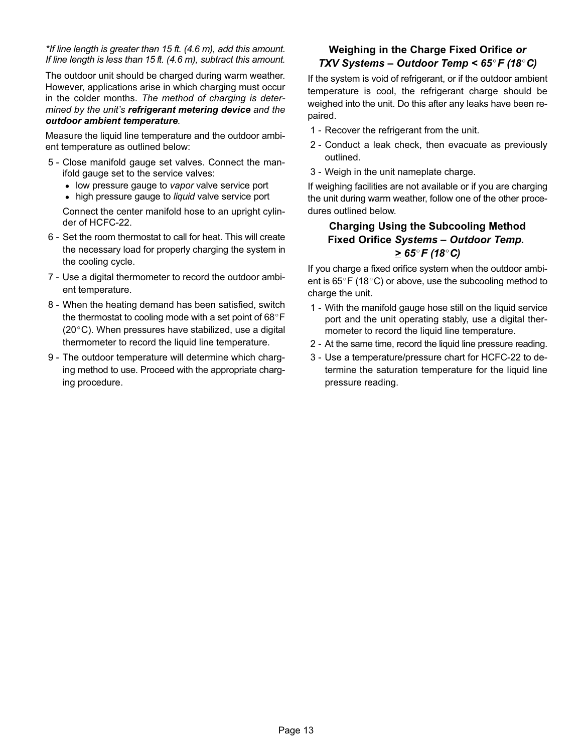\*If line length is greater than 15 ft. (4.6 m), add this amount. If line length is less than 15 ft. (4.6 m), subtract this amount.

The outdoor unit should be charged during warm weather. However, applications arise in which charging must occur in the colder months. The method of charging is determined by the unit's refrigerant metering device and the outdoor ambient temperature.

Measure the liquid line temperature and the outdoor ambient temperature as outlined below:

- 5 − Close manifold gauge set valves. Connect the manifold gauge set to the service valves:
	- low pressure gauge to vapor valve service port
	- high pressure gauge to liquid valve service port

Connect the center manifold hose to an upright cylinder of HCFC−22.

- 6 − Set the room thermostat to call for heat. This will create the necessary load for properly charging the system in the cooling cycle.
- 7 − Use a digital thermometer to record the outdoor ambient temperature.
- 8 When the heating demand has been satisfied, switch the thermostat to cooling mode with a set point of  $68^{\circ}$ F  $(20^{\circ}C)$ . When pressures have stabilized, use a digital thermometer to record the liquid line temperature.
- 9 The outdoor temperature will determine which charging method to use. Proceed with the appropriate charging procedure.

### Weighing in the Charge Fixed Orifice or TXV Systems – Outdoor Temp <  $65^{\circ}$ F (18 $^{\circ}$ C)

If the system is void of refrigerant, or if the outdoor ambient temperature is cool, the refrigerant charge should be weighed into the unit. Do this after any leaks have been repaired.

- 1 Recover the refrigerant from the unit.
- 2 − Conduct a leak check, then evacuate as previously outlined.
- 3 − Weigh in the unit nameplate charge.

If weighing facilities are not available or if you are charging the unit during warm weather, follow one of the other procedures outlined below.

#### Charging Using the Subcooling Method Fixed Orifice Systems – Outdoor Temp.  $\geq 65^{\circ}$ F (18 $^{\circ}$ C)

If you charge a fixed orifice system when the outdoor ambient is  $65^{\circ}$ F (18 $^{\circ}$ C) or above, use the subcooling method to charge the unit.

- 1 − With the manifold gauge hose still on the liquid service port and the unit operating stably, use a digital thermometer to record the liquid line temperature.
- 2 − At the same time, record the liquid line pressure reading.
- 3 − Use a temperature/pressure chart for HCFC-22 to determine the saturation temperature for the liquid line pressure reading.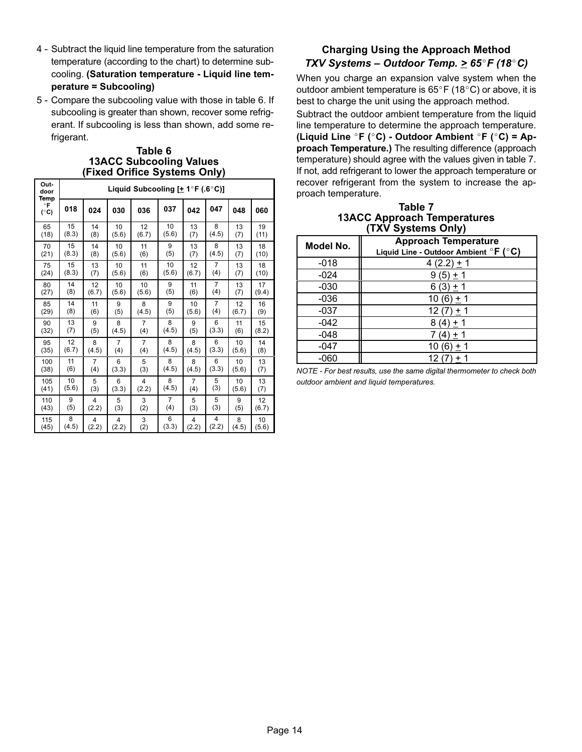- 4 − Subtract the liquid line temperature from the saturation temperature (according to the chart) to determine subcooling. (Saturation temperature − Liquid line temperature = Subcooling)
- 5 Compare the subcooling value with those in table 6. If subcooling is greater than shown, recover some refrigerant. If subcooling is less than shown, add some refrigerant.

#### Table 6 13ACC Subcooling Values (Fixed Orifice Systems Only)

| Out-<br>door<br>Temp       | Liquid Subcooling $[±1°F (.6°C)]$ |       |       |       |       |       |                |       |       |
|----------------------------|-----------------------------------|-------|-------|-------|-------|-------|----------------|-------|-------|
| $\circ$ F<br>$(^{\circ}C)$ | 018                               | 024   | 030   | 036   | 037   | 042   | 047            | 048   | 060   |
| 65                         | 15                                | 14    | 10    | 12    | 10    | 13    | 8              | 13    | 19    |
| (18)                       | (8.3)                             | (8)   | (5.6) | (6.7) | (5.6) | (7)   | (4.5)          | (7)   | (11)  |
| 70                         | 15                                | 14    | 10    | 11    | 9     | 13    | 8              | 13    | 18    |
| (21)                       | (8.3)                             | (8)   | (5.6) | (6)   | (5)   | (7)   | (4.5)          | (7)   | (10)  |
| 75                         | 15                                | 13    | 10    | 11    | 10    | 12    | 7              | 13    | 18    |
| (24)                       | (8.3)                             | (7)   | (5.6) | (6)   | (5.6) | (6.7) | (4)            | (7)   | (10)  |
| 80                         | 14                                | 12    | 10    | 10    | 9     | 11    | $\overline{7}$ | 13    | 17    |
| (27)                       | (8)                               | (6.7) | (5.6) | (5.6) | (5)   | (6)   | (4)            | (7)   | (9.4) |
| 85                         | 14                                | 11    | 9     | 8     | 9     | 10    | 7              | 12    | 16    |
| (29)                       | (8)                               | (6)   | (5)   | (4.5) | (5)   | (5.6) | (4)            | (6.7) | (9)   |
| 90                         | 13                                | 9     | 8     | 7     | 8     | 9     | 6              | 11    | 15    |
| (32)                       | (7)                               | (5)   | (4.5) | (4)   | (4.5) | (5)   | (3.3)          | (6)   | (8.2) |
| 95                         | 12                                | 8     | 7     | 7     | 8     | 8     | 6              | 10    | 14    |
| (35)                       | (6.7)                             | (4.5) | (4)   | (4)   | (4.5) | (4.5) | (3.3)          | (5.6) | (8)   |
| 100                        | 11                                | 7     | 6     | 5     | 8     | 8     | 6              | 10    | 13    |
| (38)                       | (6)                               | (4)   | (3.3) | (3)   | (4.5) | (4.5) | (3.3)          | (5.6) | (7)   |
| 105                        | 10                                | 5     | 6     | 4     | 8     | 7     | 5              | 10    | 13    |
| (41)                       | (5.6)                             | (3)   | (3.3) | (2.2) | (4.5) | (4)   | (3)            | (5.6) | (7)   |
| 110                        | 9                                 | 4     | 5     | 3     | 7     | 5     | 5              | 9     | 12    |
| (43)                       | (5)                               | (2.2) | (3)   | (2)   | (4)   | (3)   | (3)            | (5)   | (6.7) |
| 115                        | 8                                 | 4     | 4     | 3     | 6     | 4     | 4              | 8     | 10    |
| (45)                       | (4.5)                             | (2.2) | (2.2) | (2)   | (3.3) | (2.2) | (2.2)          | (4.5) | (5.6) |

### Charging Using the Approach Method TXV Systems – Outdoor Temp. >  $65^{\circ}F(18^{\circ}C)$

When you charge an expansion valve system when the outdoor ambient temperature is  $65^{\circ}$ F (18 $^{\circ}$ C) or above, it is best to charge the unit using the approach method.

Subtract the outdoor ambient temperature from the liquid line temperature to determine the approach temperature. (Liquid Line °F (°C) - Outdoor Ambient °F (°C) = Approach Temperature.) The resulting difference (approach temperature) should agree with the values given in table 7. If not, add refrigerant to lower the approach temperature or recover refrigerant from the system to increase the approach temperature.

Table 7 13ACC Approach Temperatures (TXV Systems Only)

| Model No. | <b>Approach Temperature</b><br>Liquid Line - Outdoor Ambient ${}^{\circ}$ F ( ${}^{\circ}$ C) |
|-----------|-----------------------------------------------------------------------------------------------|
| $-018$    | 4 (2.2) $\pm$ 1                                                                               |
| $-024$    | $9(5) + 1$                                                                                    |
| $-030$    | $6(3) + 1$                                                                                    |
| $-036$    | 10 (6) $\pm$ 1                                                                                |
| -037      | $12(7) + 1$                                                                                   |
| $-042$    | $8(4) + 1$                                                                                    |
| $-048$    | + 1<br>(4                                                                                     |
| -047      | 10 (6<br>+ 1                                                                                  |
| -060      | 12 (7                                                                                         |

NOTE − For best results, use the same digital thermometer to check both outdoor ambient and liquid temperatures.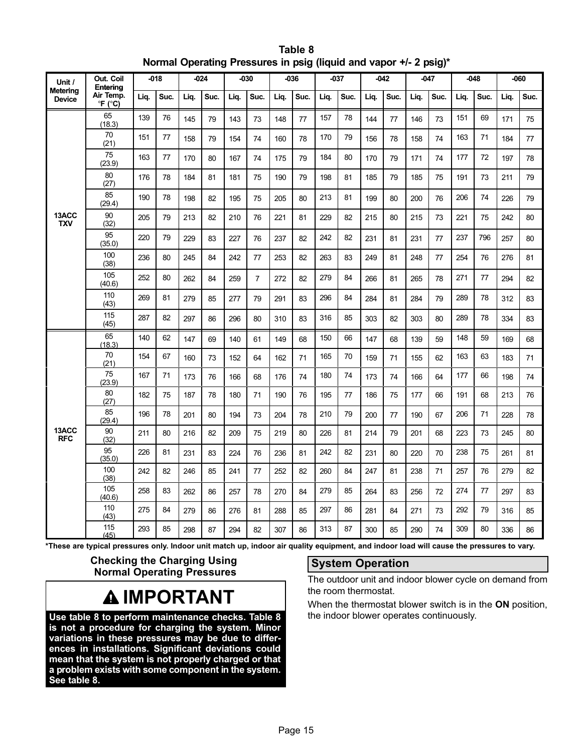| Unit /                    | Out. Coil<br>Entering                       |      | $-018$ |      | -024 |      | -030           |      | -036 | $-037$ |      |      | $-042$ |      | -047 |      | $-048$ |      | -060 |
|---------------------------|---------------------------------------------|------|--------|------|------|------|----------------|------|------|--------|------|------|--------|------|------|------|--------|------|------|
| Metering<br><b>Device</b> | Air Temp.<br>$\mathrm{P}F$ ( $\mathrm{C}$ ) | Lig. | Suc.   | Liq. | Suc. | Liq. | Suc.           | Lig. | Suc. | Lig.   | Suc. | Lig. | Suc.   | Liq. | Suc. | Lig. | Suc.   | Lig. | Suc. |
|                           | 65<br>(18.3)                                | 139  | 76     | 145  | 79   | 143  | 73             | 148  | 77   | 157    | 78   | 144  | 77     | 146  | 73   | 151  | 69     | 171  | 75   |
|                           | 70<br>(21)                                  | 151  | 77     | 158  | 79   | 154  | 74             | 160  | 78   | 170    | 79   | 156  | 78     | 158  | 74   | 163  | 71     | 184  | 77   |
|                           | 75<br>(23.9)                                | 163  | 77     | 170  | 80   | 167  | 74             | 175  | 79   | 184    | 80   | 170  | 79     | 171  | 74   | 177  | 72     | 197  | 78   |
|                           | 80<br>(27)                                  | 176  | 78     | 184  | 81   | 181  | 75             | 190  | 79   | 198    | 81   | 185  | 79     | 185  | 75   | 191  | 73     | 211  | 79   |
|                           | 85<br>(29.4)                                | 190  | 78     | 198  | 82   | 195  | 75             | 205  | 80   | 213    | 81   | 199  | 80     | 200  | 76   | 206  | 74     | 226  | 79   |
| 13ACC<br><b>TXV</b>       | 90<br>(32)                                  | 205  | 79     | 213  | 82   | 210  | 76             | 221  | 81   | 229    | 82   | 215  | 80     | 215  | 73   | 221  | 75     | 242  | 80   |
|                           | 95<br>(35.0)                                | 220  | 79     | 229  | 83   | 227  | 76             | 237  | 82   | 242    | 82   | 231  | 81     | 231  | 77   | 237  | 796    | 257  | 80   |
|                           | 100<br>(38)                                 | 236  | 80     | 245  | 84   | 242  | 77             | 253  | 82   | 263    | 83   | 249  | 81     | 248  | 77   | 254  | 76     | 276  | 81   |
|                           | 105<br>(40.6)                               | 252  | 80     | 262  | 84   | 259  | $\overline{7}$ | 272  | 82   | 279    | 84   | 266  | 81     | 265  | 78   | 271  | 77     | 294  | 82   |
|                           | 110<br>(43)                                 | 269  | 81     | 279  | 85   | 277  | 79             | 291  | 83   | 296    | 84   | 284  | 81     | 284  | 79   | 289  | 78     | 312  | 83   |
|                           | 115<br>(45)                                 | 287  | 82     | 297  | 86   | 296  | 80             | 310  | 83   | 316    | 85   | 303  | 82     | 303  | 80   | 289  | 78     | 334  | 83   |
|                           | 65<br>(18.3)                                | 140  | 62     | 147  | 69   | 140  | 61             | 149  | 68   | 150    | 66   | 147  | 68     | 139  | 59   | 148  | 59     | 169  | 68   |
|                           | 70<br>(21)                                  | 154  | 67     | 160  | 73   | 152  | 64             | 162  | 71   | 165    | 70   | 159  | 71     | 155  | 62   | 163  | 63     | 183  | 71   |
|                           | 75<br>(23.9)                                | 167  | 71     | 173  | 76   | 166  | 68             | 176  | 74   | 180    | 74   | 173  | 74     | 166  | 64   | 177  | 66     | 198  | 74   |
|                           | 80<br>(27)                                  | 182  | 75     | 187  | 78   | 180  | 71             | 190  | 76   | 195    | 77   | 186  | 75     | 177  | 66   | 191  | 68     | 213  | 76   |
|                           | 85<br>(29.4)                                | 196  | 78     | 201  | 80   | 194  | 73             | 204  | 78   | 210    | 79   | 200  | 77     | 190  | 67   | 206  | 71     | 228  | 78   |
| 13ACC<br><b>RFC</b>       | 90<br>(32)                                  | 211  | 80     | 216  | 82   | 209  | 75             | 219  | 80   | 226    | 81   | 214  | 79     | 201  | 68   | 223  | 73     | 245  | 80   |
|                           | 95<br>(35.0)                                | 226  | 81     | 231  | 83   | 224  | 76             | 236  | 81   | 242    | 82   | 231  | 80     | 220  | 70   | 238  | 75     | 261  | 81   |
|                           | 100<br>(38)                                 | 242  | 82     | 246  | 85   | 241  | 77             | 252  | 82   | 260    | 84   | 247  | 81     | 238  | 71   | 257  | 76     | 279  | 82   |
|                           | 105<br>(40.6)                               | 258  | 83     | 262  | 86   | 257  | 78             | 270  | 84   | 279    | 85   | 264  | 83     | 256  | 72   | 274  | 77     | 297  | 83   |
|                           | 110<br>(43)                                 | 275  | 84     | 279  | 86   | 276  | 81             | 288  | 85   | 297    | 86   | 281  | 84     | 271  | 73   | 292  | 79     | 316  | 85   |
|                           | 115<br>(45)                                 | 293  | 85     | 298  | 87   | 294  | 82             | 307  | 86   | 313    | 87   | 300  | 85     | 290  | 74   | 309  | 80     | 336  | 86   |

| Table 8                                                           |  |  |  |  |  |  |
|-------------------------------------------------------------------|--|--|--|--|--|--|
| Normal Operating Pressures in psig (liquid and vapor +/- 2 psig)* |  |  |  |  |  |  |

\*These are typical pressures only. Indoor unit match up, indoor air quality equipment, and indoor load will cause the pressures to vary.

Checking the Charging Using Normal Operating Pressures

# **AIMPORTANT**

Use table 8 to perform maintenance checks. Table 8 is not a procedure for charging the system. Minor variations in these pressures may be due to differences in installations. Significant deviations could mean that the system is not properly charged or that a problem exists with some component in the system. See table 8.

### System Operation

The outdoor unit and indoor blower cycle on demand from the room thermostat.

When the thermostat blower switch is in the ON position, the indoor blower operates continuously.